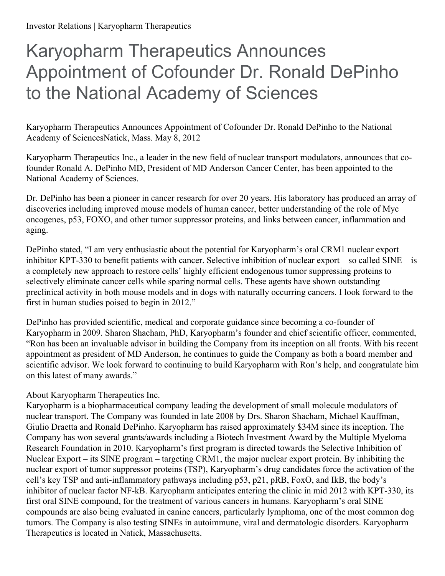## Karyopharm Therapeutics Announces Appointment of Cofounder Dr. Ronald DePinho to the National Academy of Sciences

Karyopharm Therapeutics Announces Appointment of Cofounder Dr. Ronald DePinho to the National Academy of SciencesNatick, Mass. May 8, 2012

Karyopharm Therapeutics Inc., a leader in the new field of nuclear transport modulators, announces that cofounder Ronald A. DePinho MD, President of MD Anderson Cancer Center, has been appointed to the National Academy of Sciences.

Dr. DePinho has been a pioneer in cancer research for over 20 years. His laboratory has produced an array of discoveries including improved mouse models of human cancer, better understanding of the role of Myc oncogenes, p53, FOXO, and other tumor suppressor proteins, and links between cancer, inflammation and aging.

DePinho stated, "I am very enthusiastic about the potential for Karyopharm's oral CRM1 nuclear export inhibitor KPT-330 to benefit patients with cancer. Selective inhibition of nuclear export – so called SINE – is a completely new approach to restore cells' highly efficient endogenous tumor suppressing proteins to selectively eliminate cancer cells while sparing normal cells. These agents have shown outstanding preclinical activity in both mouse models and in dogs with naturally occurring cancers. I look forward to the first in human studies poised to begin in 2012."

DePinho has provided scientific, medical and corporate guidance since becoming a co-founder of Karyopharm in 2009. Sharon Shacham, PhD, Karyopharm's founder and chief scientific officer, commented, "Ron has been an invaluable advisor in building the Company from its inception on all fronts. With his recent appointment as president of MD Anderson, he continues to guide the Company as both a board member and scientific advisor. We look forward to continuing to build Karyopharm with Ron's help, and congratulate him on this latest of many awards."

## About Karyopharm Therapeutics Inc.

Karyopharm is a biopharmaceutical company leading the development of small molecule modulators of nuclear transport. The Company was founded in late 2008 by Drs. Sharon Shacham, Michael Kauffman, Giulio Draetta and Ronald DePinho. Karyopharm has raised approximately \$34M since its inception. The Company has won several grants/awards including a Biotech Investment Award by the Multiple Myeloma Research Foundation in 2010. Karyopharm's first program is directed towards the Selective Inhibition of Nuclear Export – its SINE program – targeting CRM1, the major nuclear export protein. By inhibiting the nuclear export of tumor suppressor proteins (TSP), Karyopharm's drug candidates force the activation of the cell's key TSP and anti-inflammatory pathways including p53, p21, pRB, FoxO, and IkB, the body's inhibitor of nuclear factor NF-kB. Karyopharm anticipates entering the clinic in mid 2012 with KPT-330, its first oral SINE compound, for the treatment of various cancers in humans. Karyopharm's oral SINE compounds are also being evaluated in canine cancers, particularly lymphoma, one of the most common dog tumors. The Company is also testing SINEs in autoimmune, viral and dermatologic disorders. Karyopharm Therapeutics is located in Natick, Massachusetts.